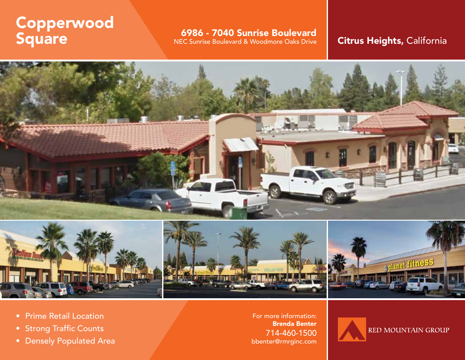# Copperwood Square

**6986 - 7040 Sunrise Boulevard**<br>NEC Sunrise Boulevard & Woodmore Oaks Drive

# Citrus Heights, California



- Prime Retail Location
- Strong Traffic Counts
- Densely Populated Area

For more information: Brenda Benter 714-460-1500 bbenter@rmrginc.com

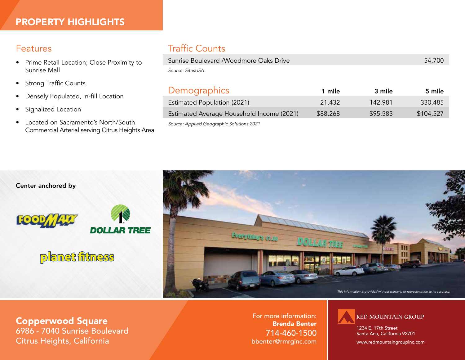# Features

- Prime Retail Location; Close Proximity to Sunrise Mall
- Strong Traffic Counts
- Densely Populated, In-fill Location
- Signalized Location
- Located on Sacramento's North/South Commercial Arterial serving Citrus Heights Area

# Traffic Counts

| Sunrise Boulevard / Woodmore Oaks Drive   |          |          | 54,700    |
|-------------------------------------------|----------|----------|-----------|
| Source: SitesUSA                          |          |          |           |
|                                           |          |          |           |
| <b>Demographics</b>                       | 1 mile   | 3 mile   | 5 mile    |
| <b>Estimated Population (2021)</b>        | 21,432   | 142,981  | 330,485   |
| Estimated Average Household Income (2021) | \$88,268 | \$95,583 | \$104,527 |

*Source: Applied Geographic Solutions 2021*

Center anchored by







Copperwood Square 6986 - 7040 Sunrise Boulevard Citrus Heights, California

For more information: Brenda Benter 714-460-1500 bbenter@rmrginc.com



1234 E. 17th Street Santa Ana, California 92701

www.redmountaingroupinc.com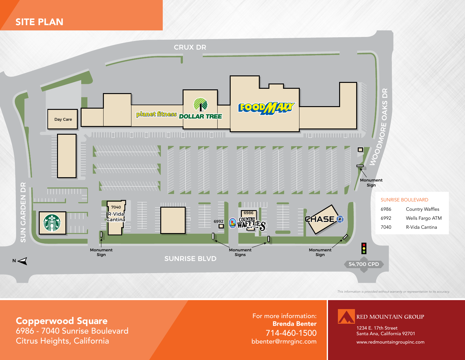SITE PLAN



*This information is provided without warranty or representation to its accuracy.*

#### Copperwood Square

6986 - 7040 Sunrise Boulevard Citrus Heights, California

For more information: Brenda Benter 714-460-1500 bbenter@rmrginc.com



1234 E. 17th Street Santa Ana, California 92701

www.redmountaingroupinc.com